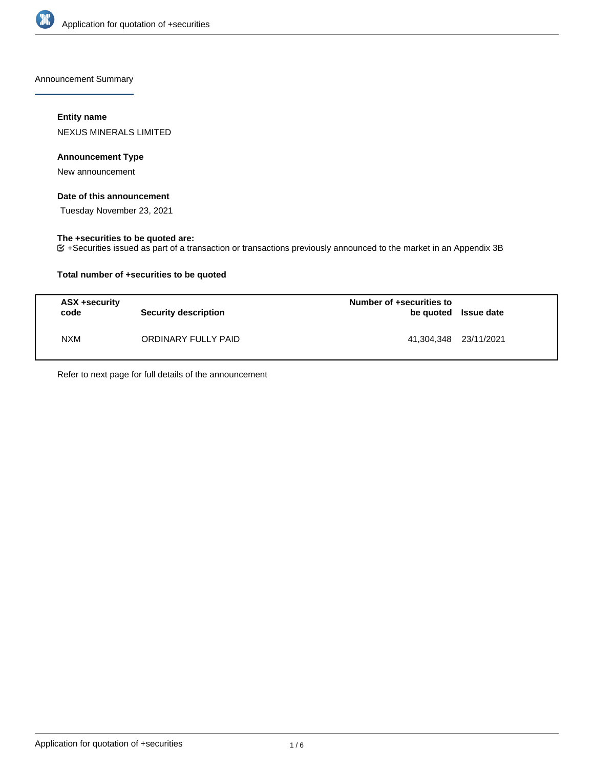

Announcement Summary

## **Entity name**

NEXUS MINERALS LIMITED

## **Announcement Type**

New announcement

## **Date of this announcement**

Tuesday November 23, 2021

## **The +securities to be quoted are:**

+Securities issued as part of a transaction or transactions previously announced to the market in an Appendix 3B

## **Total number of +securities to be quoted**

| ASX +security<br>code | <b>Security description</b> | Number of +securities to<br>be quoted Issue date |  |
|-----------------------|-----------------------------|--------------------------------------------------|--|
| <b>NXM</b>            | ORDINARY FULLY PAID         | 41,304,348 23/11/2021                            |  |

Refer to next page for full details of the announcement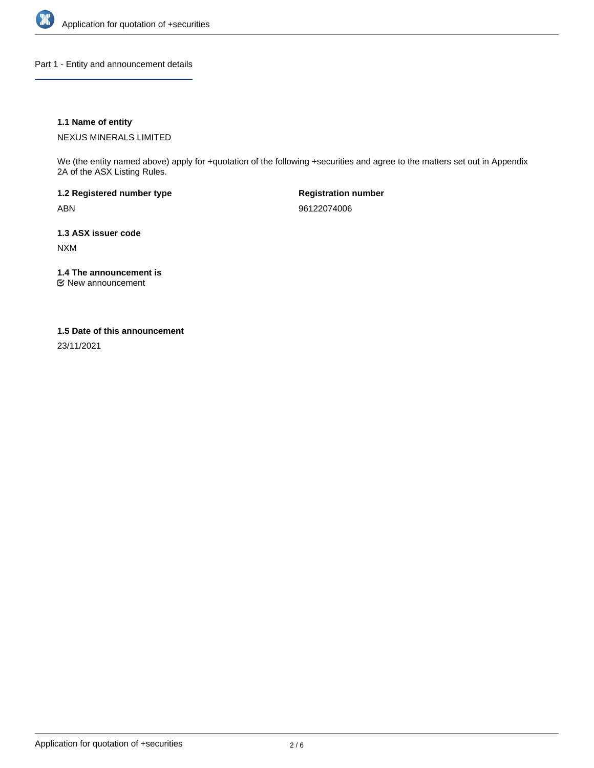

Part 1 - Entity and announcement details

## **1.1 Name of entity**

NEXUS MINERALS LIMITED

We (the entity named above) apply for +quotation of the following +securities and agree to the matters set out in Appendix 2A of the ASX Listing Rules.

**1.2 Registered number type** ABN

**Registration number** 96122074006

**1.3 ASX issuer code** NXM

**1.4 The announcement is**

New announcement

#### **1.5 Date of this announcement**

23/11/2021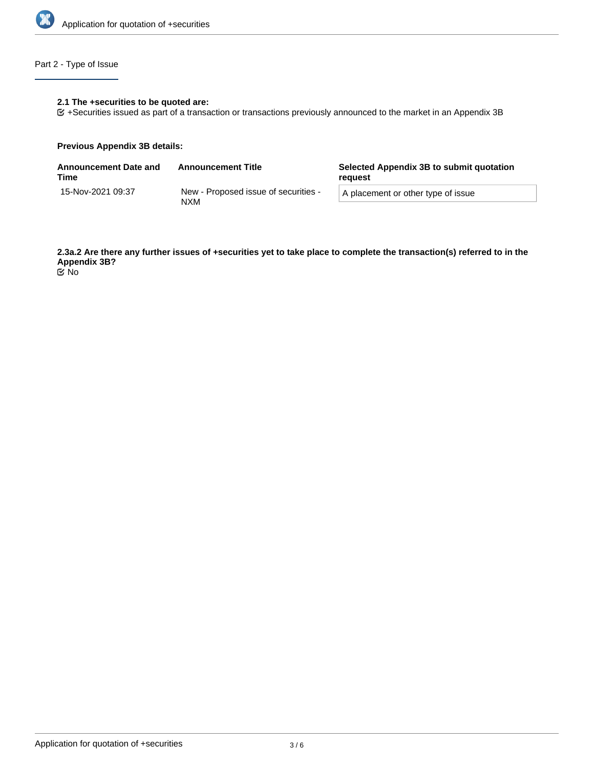

# Part 2 - Type of Issue

## **2.1 The +securities to be quoted are:**

+Securities issued as part of a transaction or transactions previously announced to the market in an Appendix 3B

#### **Previous Appendix 3B details:**

| <b>Announcement Date and</b><br>Time | <b>Announcement Title</b>                          | Selected Appendix 3B to submit quotation<br>reauest |  |
|--------------------------------------|----------------------------------------------------|-----------------------------------------------------|--|
| 15-Nov-2021 09:37                    | New - Proposed issue of securities -<br><b>NXM</b> | A placement or other type of issue                  |  |

**2.3a.2 Are there any further issues of +securities yet to take place to complete the transaction(s) referred to in the Appendix 3B?** No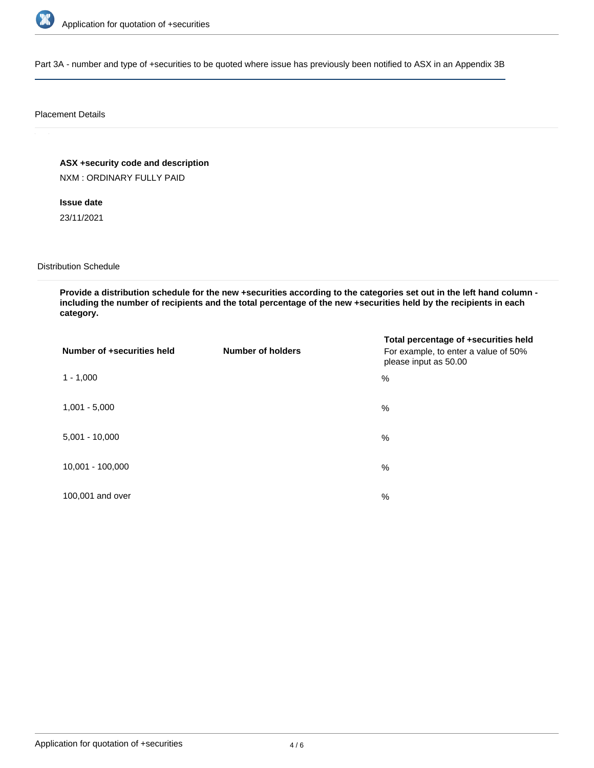

Part 3A - number and type of +securities to be quoted where issue has previously been notified to ASX in an Appendix 3B

#### Placement Details

**ASX +security code and description**

NXM : ORDINARY FULLY PAID

**Issue date** 23/11/2021

Distribution Schedule

**Provide a distribution schedule for the new +securities according to the categories set out in the left hand column including the number of recipients and the total percentage of the new +securities held by the recipients in each category.**

| Number of +securities held | <b>Number of holders</b> | Total percentage of +securities held<br>For example, to enter a value of 50%<br>please input as 50.00 |
|----------------------------|--------------------------|-------------------------------------------------------------------------------------------------------|
| $1 - 1,000$                |                          | %                                                                                                     |
| $1,001 - 5,000$            |                          | $\%$                                                                                                  |
| $5,001 - 10,000$           |                          | %                                                                                                     |
| 10,001 - 100,000           |                          | $\%$                                                                                                  |
| 100,001 and over           |                          | $\%$                                                                                                  |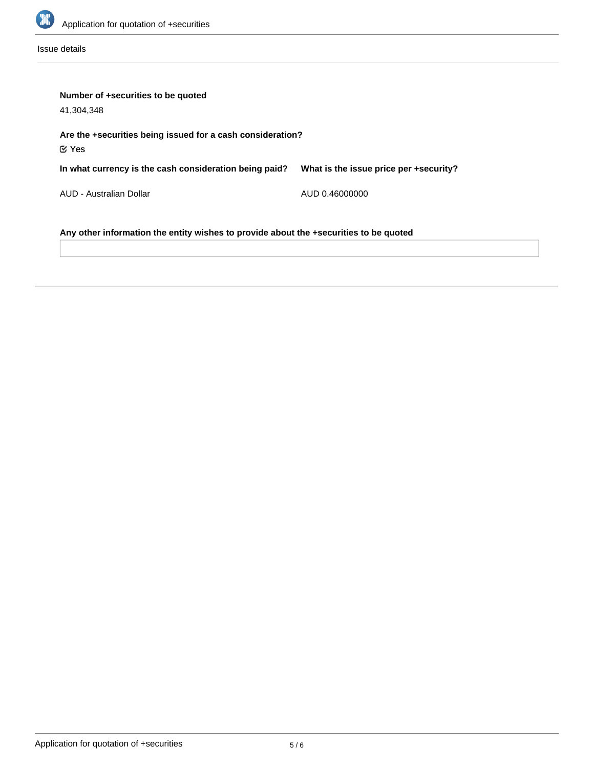

Issue details

| Number of +securities to be quoted<br>41.304.348                                      |                                        |  |  |  |
|---------------------------------------------------------------------------------------|----------------------------------------|--|--|--|
| Are the +securities being issued for a cash consideration?<br>$\mathfrak C$ Yes       |                                        |  |  |  |
| In what currency is the cash consideration being paid?                                | What is the issue price per +security? |  |  |  |
| AUD - Australian Dollar                                                               | AUD 0.46000000                         |  |  |  |
| Any other information the entity wishes to provide about the +securities to be quoted |                                        |  |  |  |